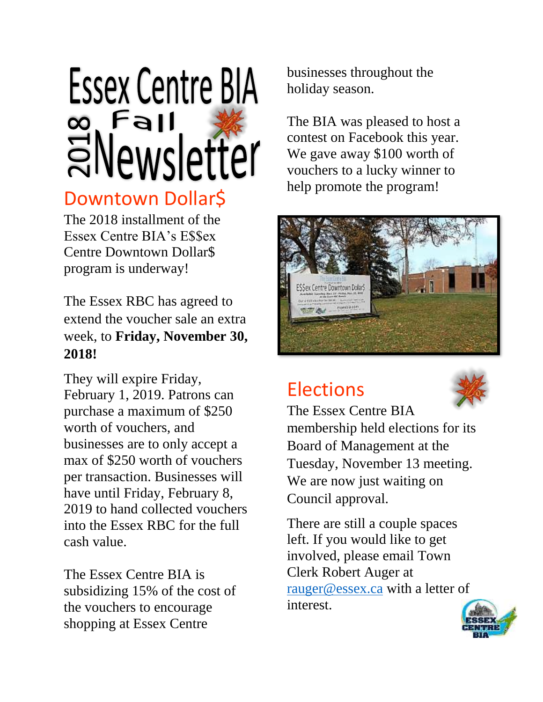# **Essex Centre BIA**  $\infty$  Fal **ENewsletter**

## Downtown Dollar\$

The 2018 installment of the Essex Centre BIA's E\$\$ex Centre Downtown Dollar\$ program is underway!

The Essex RBC has agreed to extend the voucher sale an extra week, to **Friday, November 30, 2018!**

They will expire Friday, February 1, 2019. Patrons can purchase a maximum of \$250 worth of vouchers, and businesses are to only accept a max of \$250 worth of vouchers per transaction. Businesses will have until Friday, February 8, 2019 to hand collected vouchers into the Essex RBC for the full cash value.

The Essex Centre BIA is subsidizing 15% of the cost of the vouchers to encourage shopping at Essex Centre

businesses throughout the holiday season.

The BIA was pleased to host a contest on Facebook this year. We gave away \$100 worth of vouchers to a lucky winner to help promote the program!



# **Elections**



The Essex Centre BIA membership held elections for its Board of Management at the Tuesday, November 13 meeting. We are now just waiting on Council approval.

There are still a couple spaces left. If you would like to get involved, please email Town Clerk Robert Auger at [rauger@essex.ca](mailto:rauger@essex.ca) with a letter of interest.

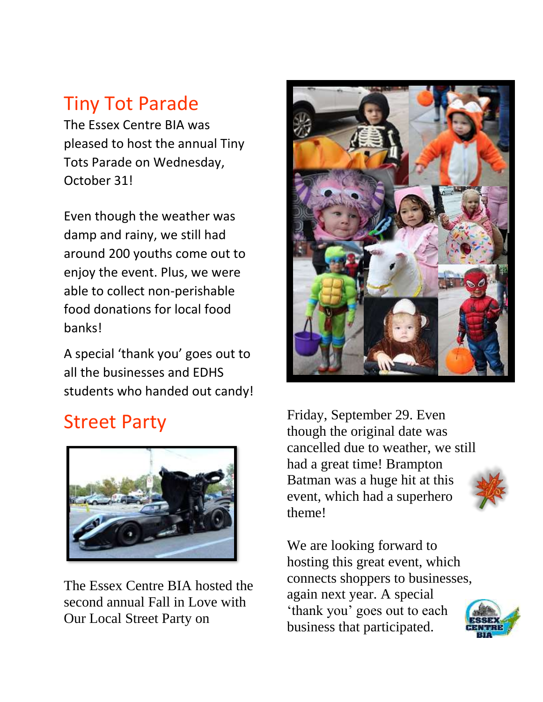# Tiny Tot Parade

The Essex Centre BIA was pleased to host the annual Tiny Tots Parade on Wednesday, October 31!

Even though the weather was damp and rainy, we still had around 200 youths come out to enjoy the event. Plus, we were able to collect non-perishable food donations for local food banks!

A special 'thank you' goes out to all the businesses and EDHS students who handed out candy!

# Street Party



The Essex Centre BIA hosted the second annual Fall in Love with Our Local Street Party on



Friday, September 29. Even though the original date was cancelled due to weather, we still had a great time! Brampton Batman was a huge hit at this event, which had a superhero theme!

We are looking forward to hosting this great event, which connects shoppers to businesses, again next year. A special 'thank you' goes out to each business that participated.

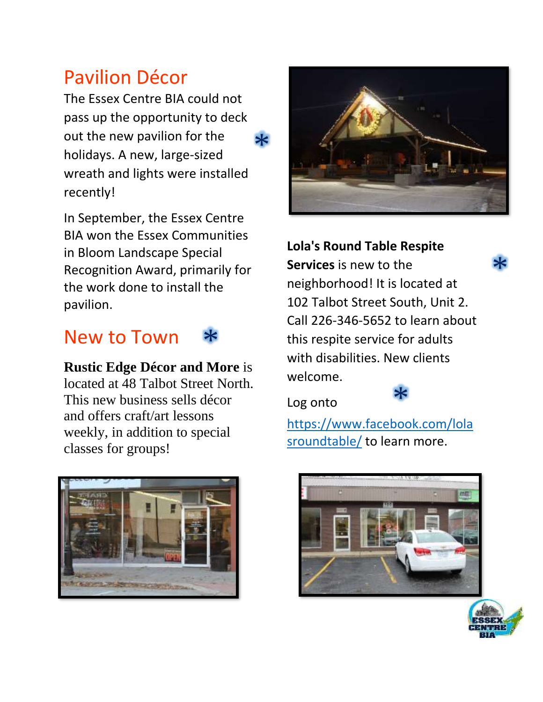## Pavilion Décor

The Essex Centre BIA could not pass up the opportunity to deck out the new pavilion for the holidays. A new, large-sized wreath and lights were installed recently!  $\ast$ 

In September, the Essex Centre BIA won the Essex Communities in Bloom Landscape Special Recognition Award, primarily for the work done to install the pavilion.

#### New to Town \*

**Rustic Edge Décor and More** is located at 48 Talbot Street North. This new business sells décor and offers craft/art lessons weekly, in addition to special classes for groups!





#### **Lola's Round Table Respite**

**Services** is new to the neighborhood! It is located at 102 Talbot Street South, Unit 2. Call 226-346-5652 to learn about this respite service for adults with disabilities. New clients welcome.

Log onto



[https://www.facebook.com/lola](https://www.facebook.com/lolasroundtable/) [sroundtable/](https://www.facebook.com/lolasroundtable/) to learn more.





\*